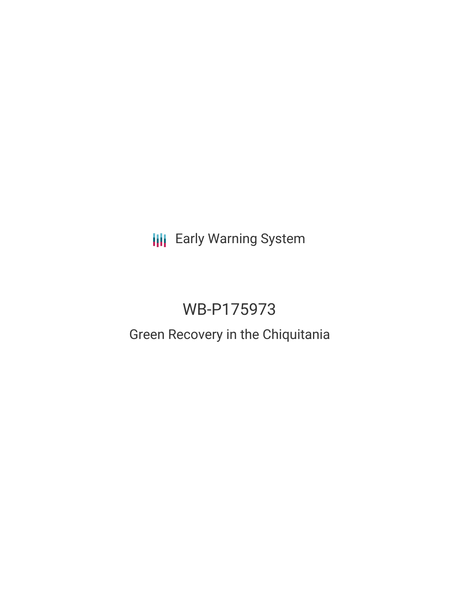**III** Early Warning System

# WB-P175973

# Green Recovery in the Chiquitania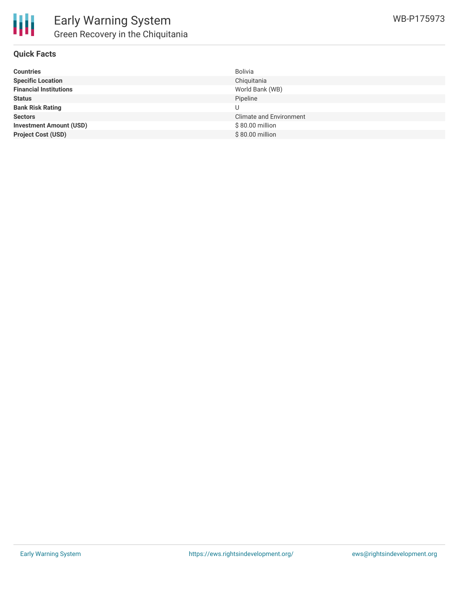

| <b>Countries</b>               | Bolivia                        |
|--------------------------------|--------------------------------|
| <b>Specific Location</b>       | Chiquitania                    |
| <b>Financial Institutions</b>  | World Bank (WB)                |
| <b>Status</b>                  | Pipeline                       |
| <b>Bank Risk Rating</b>        |                                |
| <b>Sectors</b>                 | <b>Climate and Environment</b> |
| <b>Investment Amount (USD)</b> | \$80.00 million                |
| <b>Project Cost (USD)</b>      | \$80.00 million                |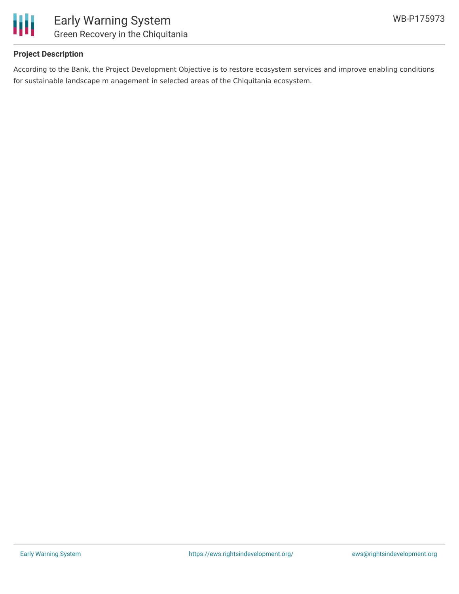

## **Project Description**

According to the Bank, the Project Development Objective is to restore ecosystem services and improve enabling conditions for sustainable landscape m anagement in selected areas of the Chiquitania ecosystem.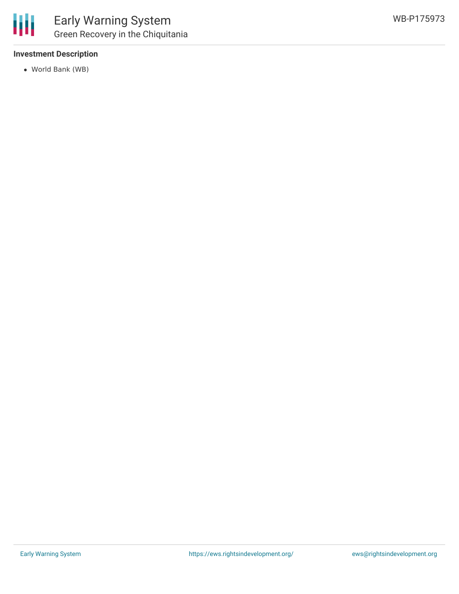

### **Investment Description**

World Bank (WB)